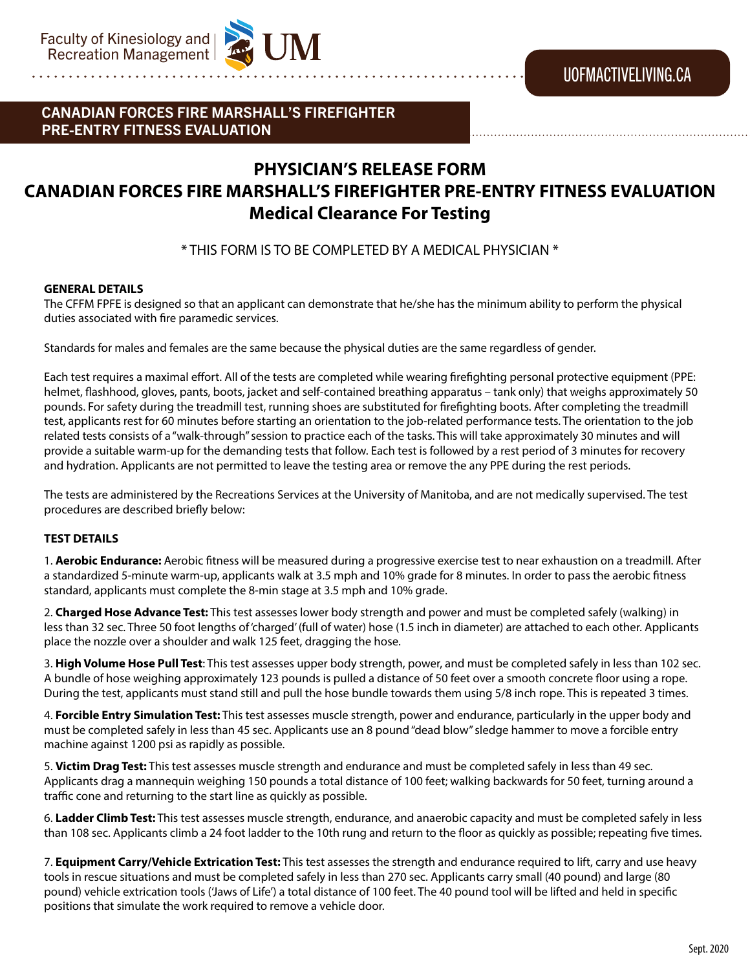### CANADIAN FORCES FIRE MARSHALL'S FIREFIGHTER PRE-ENTRY FITNESS EVALUATION

# **PHYSICIAN'S RELEASE FORM CANADIAN FORCES FIRE MARSHALL'S FIREFIGHTER PRE-ENTRY FITNESS EVALUATION Medical Clearance For Testing**

\* THIS FORM IS TO BE COMPLETED BY A MEDICAL PHYSICIAN \*

#### **GENERAL DETAILS**

The CFFM FPFE is designed so that an applicant can demonstrate that he/she has the minimum ability to perform the physical duties associated with fire paramedic services.

Standards for males and females are the same because the physical duties are the same regardless of gender.

Each test requires a maximal effort. All of the tests are completed while wearing firefighting personal protective equipment (PPE: helmet, flashhood, gloves, pants, boots, jacket and self-contained breathing apparatus – tank only) that weighs approximately 50 pounds. For safety during the treadmill test, running shoes are substituted for firefighting boots. After completing the treadmill test, applicants rest for 60 minutes before starting an orientation to the job-related performance tests. The orientation to the job related tests consists of a "walk-through" session to practice each of the tasks. This will take approximately 30 minutes and will provide a suitable warm-up for the demanding tests that follow. Each test is followed by a rest period of 3 minutes for recovery and hydration. Applicants are not permitted to leave the testing area or remove the any PPE during the rest periods.

The tests are administered by the Recreations Services at the University of Manitoba, and are not medically supervised. The test procedures are described briefly below:

#### **TEST DETAILS**

1. **Aerobic Endurance:** Aerobic fitness will be measured during a progressive exercise test to near exhaustion on a treadmill. After a standardized 5-minute warm-up, applicants walk at 3.5 mph and 10% grade for 8 minutes. In order to pass the aerobic fitness standard, applicants must complete the 8-min stage at 3.5 mph and 10% grade.

2. **Charged Hose Advance Test:** This test assesses lower body strength and power and must be completed safely (walking) in less than 32 sec. Three 50 foot lengths of 'charged' (full of water) hose (1.5 inch in diameter) are attached to each other. Applicants place the nozzle over a shoulder and walk 125 feet, dragging the hose.

3. **High Volume Hose Pull Test**: This test assesses upper body strength, power, and must be completed safely in less than 102 sec. A bundle of hose weighing approximately 123 pounds is pulled a distance of 50 feet over a smooth concrete floor using a rope. During the test, applicants must stand still and pull the hose bundle towards them using 5/8 inch rope. This is repeated 3 times.

4. **Forcible Entry Simulation Test:** This test assesses muscle strength, power and endurance, particularly in the upper body and must be completed safely in less than 45 sec. Applicants use an 8 pound "dead blow" sledge hammer to move a forcible entry machine against 1200 psi as rapidly as possible.

5. **Victim Drag Test:** This test assesses muscle strength and endurance and must be completed safely in less than 49 sec. Applicants drag a mannequin weighing 150 pounds a total distance of 100 feet; walking backwards for 50 feet, turning around a traffic cone and returning to the start line as quickly as possible.

6. **Ladder Climb Test:** This test assesses muscle strength, endurance, and anaerobic capacity and must be completed safely in less than 108 sec. Applicants climb a 24 foot ladder to the 10th rung and return to the floor as quickly as possible; repeating five times.

7. **Equipment Carry/Vehicle Extrication Test:** This test assesses the strength and endurance required to lift, carry and use heavy tools in rescue situations and must be completed safely in less than 270 sec. Applicants carry small (40 pound) and large (80 pound) vehicle extrication tools ('Jaws of Life') a total distance of 100 feet. The 40 pound tool will be lifted and held in specific positions that simulate the work required to remove a vehicle door.